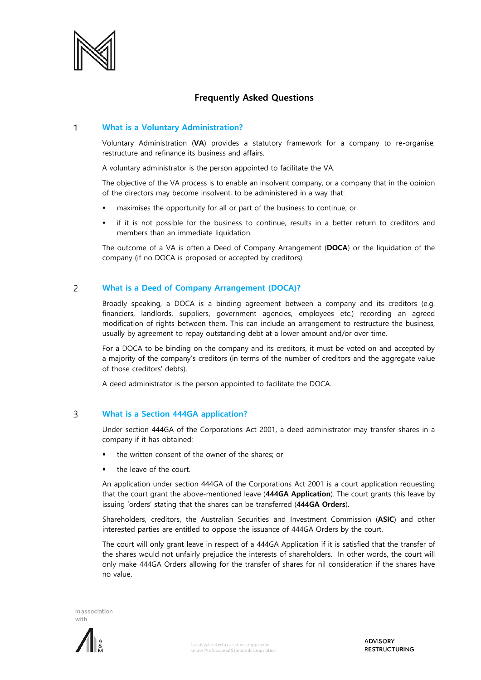

# **Frequently Asked Questions**

### $\mathbf{1}$ **What is a Voluntary Administration?**

Voluntary Administration (**VA**) provides a statutory framework for a company to re-organise, restructure and refinance its business and affairs.

A voluntary administrator is the person appointed to facilitate the VA.

The objective of the VA process is to enable an insolvent company, or a company that in the opinion of the directors may become insolvent, to be administered in a way that:

- maximises the opportunity for all or part of the business to continue; or
- if it is not possible for the business to continue, results in a better return to creditors and members than an immediate liquidation.

The outcome of a VA is often a Deed of Company Arrangement (**DOCA**) or the liquidation of the company (if no DOCA is proposed or accepted by creditors).

### $\overline{c}$ **What is a Deed of Company Arrangement (DOCA)?**

Broadly speaking, a DOCA is a binding agreement between a company and its creditors (e.g. financiers, landlords, suppliers, government agencies, employees etc.) recording an agreed modification of rights between them. This can include an arrangement to restructure the business, usually by agreement to repay outstanding debt at a lower amount and/or over time.

For a DOCA to be binding on the company and its creditors, it must be voted on and accepted by a majority of the company's creditors (in terms of the number of creditors and the aggregate value of those creditors' debts).

A deed administrator is the person appointed to facilitate the DOCA.

### $\overline{3}$ **What is a Section 444GA application?**

Under section 444GA of the Corporations Act 2001, a deed administrator may transfer shares in a company if it has obtained:

- the written consent of the owner of the shares; or
- the leave of the court.

An application under section 444GA of the Corporations Act 2001 is a court application requesting that the court grant the above-mentioned leave (**444GA Application**). The court grants this leave by issuing 'orders' stating that the shares can be transferred (**444GA Orders**).

Shareholders, creditors, the Australian Securities and Investment Commission (**ASIC**) and other interested parties are entitled to oppose the issuance of 444GA Orders by the court.

The court will only grant leave in respect of a 444GA Application if it is satisfied that the transfer of the shares would not unfairly prejudice the interests of shareholders. In other words, the court will only make 444GA Orders allowing for the transfer of shares for nil consideration if the shares have no value.



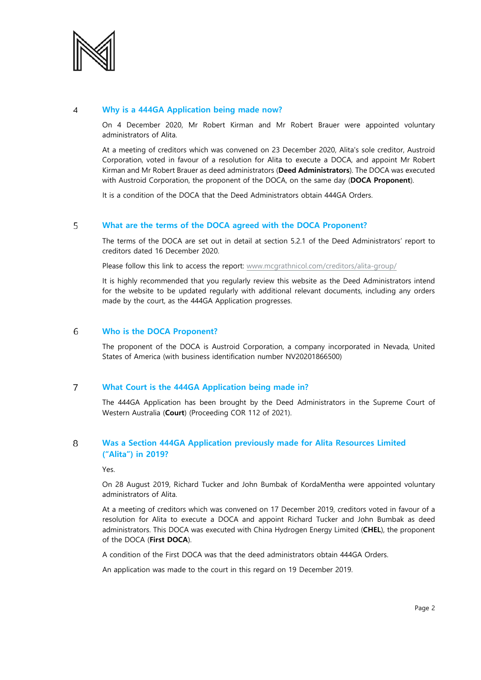

#### $\overline{4}$ **Why is a 444GA Application being made now?**

On 4 December 2020, Mr Robert Kirman and Mr Robert Brauer were appointed voluntary administrators of Alita.

At a meeting of creditors which was convened on 23 December 2020, Alita's sole creditor, Austroid Corporation, voted in favour of a resolution for Alita to execute a DOCA, and appoint Mr Robert Kirman and Mr Robert Brauer as deed administrators (**Deed Administrators**). The DOCA was executed with Austroid Corporation, the proponent of the DOCA, on the same day (**DOCA Proponent**).

It is a condition of the DOCA that the Deed Administrators obtain 444GA Orders.

### 5 **What are the terms of the DOCA agreed with the DOCA Proponent?**

The terms of the DOCA are set out in detail at section 5.2.1 of the Deed Administrators' report to creditors dated 16 December 2020.

Please follow this link to access the report: [www.mcgrathnicol.com/creditors/alita-group/](http://www.mcgrathnicol.com/creditors/alita-group/)

It is highly recommended that you regularly review this website as the Deed Administrators intend for the website to be updated regularly with additional relevant documents, including any orders made by the court, as the 444GA Application progresses.

#### 6 **Who is the DOCA Proponent?**

The proponent of the DOCA is Austroid Corporation, a company incorporated in Nevada, United States of America (with business identification number NV20201866500)

### $\overline{7}$ **What Court is the 444GA Application being made in?**

The 444GA Application has been brought by the Deed Administrators in the Supreme Court of Western Australia (**Court**) (Proceeding COR 112 of 2021).

### 8 **Was a Section 444GA Application previously made for Alita Resources Limited ("Alita") in 2019?**

Yes.

On 28 August 2019, Richard Tucker and John Bumbak of KordaMentha were appointed voluntary administrators of Alita.

At a meeting of creditors which was convened on 17 December 2019, creditors voted in favour of a resolution for Alita to execute a DOCA and appoint Richard Tucker and John Bumbak as deed administrators. This DOCA was executed with China Hydrogen Energy Limited (**CHEL**), the proponent of the DOCA (**First DOCA**).

A condition of the First DOCA was that the deed administrators obtain 444GA Orders.

An application was made to the court in this regard on 19 December 2019.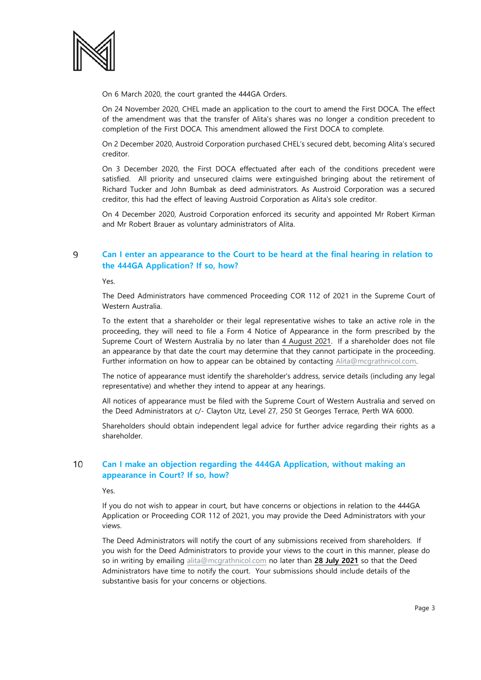

On 6 March 2020, the court granted the 444GA Orders.

On 24 November 2020, CHEL made an application to the court to amend the First DOCA. The effect of the amendment was that the transfer of Alita's shares was no longer a condition precedent to completion of the First DOCA. This amendment allowed the First DOCA to complete.

On 2 December 2020, Austroid Corporation purchased CHEL's secured debt, becoming Alita's secured creditor.

On 3 December 2020, the First DOCA effectuated after each of the conditions precedent were satisfied. All priority and unsecured claims were extinguished bringing about the retirement of Richard Tucker and John Bumbak as deed administrators. As Austroid Corporation was a secured creditor, this had the effect of leaving Austroid Corporation as Alita's sole creditor.

On 4 December 2020, Austroid Corporation enforced its security and appointed Mr Robert Kirman and Mr Robert Brauer as voluntary administrators of Alita.

# $\mathsf{Q}$ **Can I enter an appearance to the Court to be heard at the final hearing in relation to the 444GA Application? If so, how?**

Yes.

The Deed Administrators have commenced Proceeding COR 112 of 2021 in the Supreme Court of Western Australia.

To the extent that a shareholder or their legal representative wishes to take an active role in the proceeding, they will need to file a Form 4 Notice of Appearance in the form prescribed by the Supreme Court of Western Australia by no later than 4 August 2021. If a shareholder does not file an appearance by that date the court may determine that they cannot participate in the proceeding. Further information on how to appear can be obtained by contacting [Alita@mcgrathnicol.com.](mailto:Alita@mcgrathnicol.com) 

The notice of appearance must identify the shareholder's address, service details (including any legal representative) and whether they intend to appear at any hearings.

All notices of appearance must be filed with the Supreme Court of Western Australia and served on the Deed Administrators at c/- Clayton Utz, Level 27, 250 St Georges Terrace, Perth WA 6000.

Shareholders should obtain independent legal advice for further advice regarding their rights as a shareholder.

## 10 **Can I make an objection regarding the 444GA Application, without making an appearance in Court? If so, how?**

Yes.

If you do not wish to appear in court, but have concerns or objections in relation to the 444GA Application or Proceeding COR 112 of 2021, you may provide the Deed Administrators with your views.

The Deed Administrators will notify the court of any submissions received from shareholders. If you wish for the Deed Administrators to provide your views to the court in this manner, please do so in writing by emailing [alita@mcgrathnicol.com](mailto:alita@mcgrathnicol.com) no later than **28 July 2021** so that the Deed Administrators have time to notify the court. Your submissions should include details of the substantive basis for your concerns or objections.